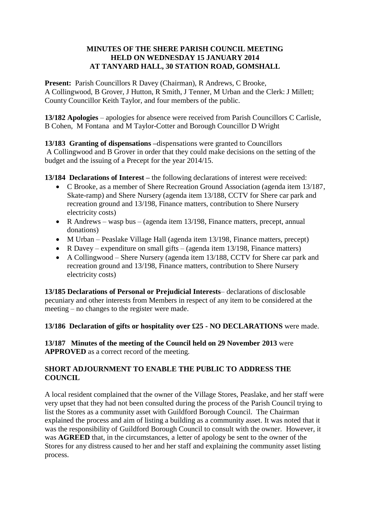# **MINUTES OF THE SHERE PARISH COUNCIL MEETING HELD ON WEDNESDAY 15 JANUARY 2014 AT TANYARD HALL, 30 STATION ROAD, GOMSHALL**

**Present:** Parish Councillors R Davey (Chairman), R Andrews, C Brooke, A Collingwood, B Grover, J Hutton, R Smith, J Tenner, M Urban and the Clerk: J Millett; County Councillor Keith Taylor, and four members of the public.

**13/182 Apologies** – apologies for absence were received from Parish Councillors C Carlisle, B Cohen, M Fontana and M Taylor-Cotter and Borough Councillor D Wright

**13/183 Granting of dispensations –**dispensations were granted to Councillors A Collingwood and B Grover in order that they could make decisions on the setting of the budget and the issuing of a Precept for the year 2014/15.

**13/184 Declarations of Interest –** the following declarations of interest were received:

- C Brooke, as a member of Shere Recreation Ground Association (agenda item 13/187, Skate-ramp) and Shere Nursery (agenda item 13/188, CCTV for Shere car park and recreation ground and 13/198, Finance matters, contribution to Shere Nursery electricity costs)
- R Andrews wasp bus (agenda item 13/198, Finance matters, precept, annual donations)
- M Urban Peaslake Village Hall (agenda item 13/198, Finance matters, precept)
- R Davey expenditure on small gifts (agenda item 13/198, Finance matters)
- A Collingwood Shere Nursery (agenda item 13/188, CCTV for Shere car park and recreation ground and 13/198, Finance matters, contribution to Shere Nursery electricity costs)

**13/185 Declarations of Personal or Prejudicial Interests**– declarations of disclosable pecuniary and other interests from Members in respect of any item to be considered at the meeting – no changes to the register were made.

# **13/186 Declaration of gifts or hospitality over £25 - NO DECLARATIONS** were made.

**13/187 Minutes of the meeting of the Council held on 29 November 2013** were **APPROVED** as a correct record of the meeting.

# **SHORT ADJOURNMENT TO ENABLE THE PUBLIC TO ADDRESS THE COUNCIL**

A local resident complained that the owner of the Village Stores, Peaslake, and her staff were very upset that they had not been consulted during the process of the Parish Council trying to list the Stores as a community asset with Guildford Borough Council. The Chairman explained the process and aim of listing a building as a community asset. It was noted that it was the responsibility of Guildford Borough Council to consult with the owner. However, it was **AGREED** that, in the circumstances, a letter of apology be sent to the owner of the Stores for any distress caused to her and her staff and explaining the community asset listing process.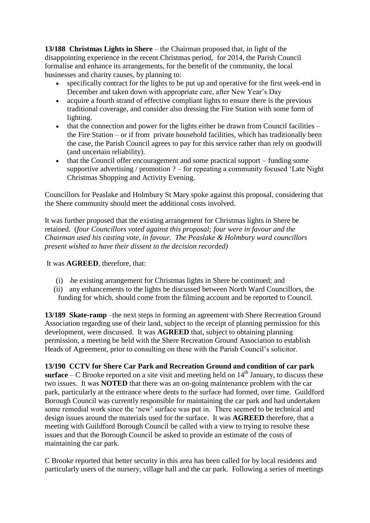**13/188 Christmas Lights in Shere** – the Chairman proposed that, in light of the disappointing experience in the recent Christmas period, for 2014, the Parish Council formalise and enhance its arrangements, for the benefit of the community, the local businesses and charity causes, by planning to:

- specifically contract for the lights to be put up and operative for the first week-end in December and taken down with appropriate care, after New Year's Day
- acquire a fourth strand of effective compliant lights to ensure there is the previous traditional coverage, and consider also dressing the Fire Station with some form of lighting.
- $\bullet$  that the connection and power for the lights either be drawn from Council facilities the Fire Station – or if from private household facilities, which has traditionally been the case, the Parish Council agrees to pay for this service rather than rely on goodwill (and uncertain reliability).
- that the Council offer encouragement and some practical support funding some supportive advertising / promotion ? – for repeating a community focused 'Late Night Christmas Shopping and Activity Evening.

Councillors for Peaslake and Holmbury St Mary spoke against this proposal, considering that the Shere community should meet the additional costs involved.

It was further proposed that the existing arrangement for Christmas lights in Shere be retained. (*four Councillors voted against this proposal; four were in favour and the Chairman used his casting vote, in favour. The Peaslake & Holmbury ward councillors present wished to have their dissent to the decision recorded)*

#### It was **AGREED**, therefore, that:

- (i) the existing arrangement for Christmas lights in Shere be continued; and
- (ii) any enhancements to the lights be discussed between North Ward Councillors, the funding for which, should come from the filming account and be reported to Council.

**13/189 Skate-ramp** –the next steps in forming an agreement with Shere Recreation Ground Association regarding use of their land, subject to the receipt of planning permission for this development, were discussed. It was **AGREED** that, subject to obtaining planning permission, a meeting be held with the Shere Recreation Ground Association to establish Heads of Agreement, prior to consulting on these with the Parish Council's solicitor.

**13/190 CCTV for Shere Car Park and Recreation Ground and condition of car park surface** – C Brooke reported on a site visit and meeting held on  $14<sup>th</sup>$  January, to discuss these two issues. It was **NOTED** that there was an on-going maintenance problem with the car park, particularly at the entrance where dents to the surface had formed, over time. Guildford Borough Council was currently responsible for maintaining the car park and had undertaken some remedial work since the 'new' surface was put in. There seemed to be technical and design issues around the materials used for the surface. It was **AGREED** therefore, that a meeting with Guildford Borough Council be called with a view to trying to resolve these issues and that the Borough Council be asked to provide an estimate of the costs of maintaining the car park.

C Brooke reported that better security in this area has been called for by local residents and particularly users of the nursery, village hall and the car park. Following a series of meetings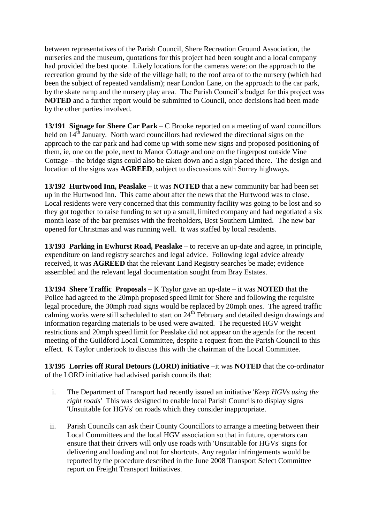between representatives of the Parish Council, Shere Recreation Ground Association, the nurseries and the museum, quotations for this project had been sought and a local company had provided the best quote. Likely locations for the cameras were: on the approach to the recreation ground by the side of the village hall; to the roof area of to the nursery (which had been the subject of repeated vandalism); near London Lane, on the approach to the car park, by the skate ramp and the nursery play area. The Parish Council's budget for this project was **NOTED** and a further report would be submitted to Council, once decisions had been made by the other parties involved.

**13/191 Signage for Shere Car Park** – C Brooke reported on a meeting of ward councillors held on  $14^{\text{th}}$  January. North ward councillors had reviewed the directional signs on the approach to the car park and had come up with some new signs and proposed positioning of them, ie, one on the pole, next to Manor Cottage and one on the fingerpost outside Vine Cottage – the bridge signs could also be taken down and a sign placed there. The design and location of the signs was **AGREED**, subject to discussions with Surrey highways.

**13/192 Hurtwood Inn, Peaslake** – it was **NOTED** that a new community bar had been set up in the Hurtwood Inn. This came about after the news that the Hurtwood was to close. Local residents were very concerned that this community facility was going to be lost and so they got together to raise funding to set up a small, limited company and had negotiated a six month lease of the bar premises with the freeholders, Best Southern Limited. The new bar opened for Christmas and was running well. It was staffed by local residents.

**13/193 Parking in Ewhurst Road, Peaslake** – to receive an up-date and agree, in principle, expenditure on land registry searches and legal advice. Following legal advice already received, it was **AGREED** that the relevant Land Registry searches be made; evidence assembled and the relevant legal documentation sought from Bray Estates.

**13/194 Shere Traffic Proposals –** K Taylor gave an up-date – it was **NOTED** that the Police had agreed to the 20mph proposed speed limit for Shere and following the requisite legal procedure, the 30mph road signs would be replaced by 20mph ones. The agreed traffic calming works were still scheduled to start on  $24<sup>th</sup>$  February and detailed design drawings and information regarding materials to be used were awaited. The requested HGV weight restrictions and 20mph speed limit for Peaslake did not appear on the agenda for the recent meeting of the Guildford Local Committee, despite a request from the Parish Council to this effect. K Taylor undertook to discuss this with the chairman of the Local Committee.

**13/195 Lorries off Rural Detours (LORD) initiative** –it was **NOTED** that the co-ordinator of the LORD initiative had advised parish councils that:

- i. The Department of Transport had recently issued an initiative '*Keep HGVs using the right roads'* This was designed to enable local Parish Councils to display signs 'Unsuitable for HGVs' on roads which they consider inappropriate.
- ii. Parish Councils can ask their County Councillors to arrange a meeting between their Local Committees and the local HGV association so that in future, operators can ensure that their drivers will only use roads with 'Unsuitable for HGVs' signs for delivering and loading and not for shortcuts. Any regular infringements would be reported by the procedure described in the June 2008 Transport Select Committee report on Freight Transport Initiatives.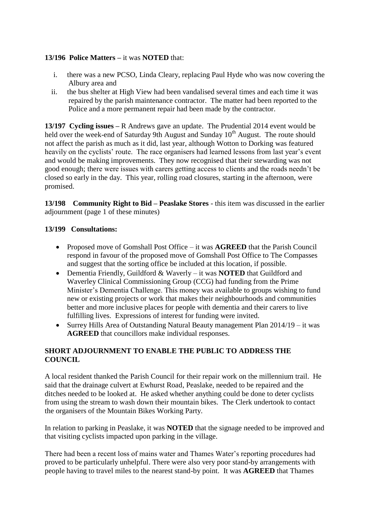## **13/196 Police Matters –** it was **NOTED** that:

- i. there was a new PCSO, Linda Cleary, replacing Paul Hyde who was now covering the Albury area and
- ii. the bus shelter at High View had been vandalised several times and each time it was repaired by the parish maintenance contractor. The matter had been reported to the Police and a more permanent repair had been made by the contractor.

**13/197 Cycling issues –** R Andrews gave an update. The Prudential 2014 event would be held over the week-end of Saturday 9th August and Sunday  $10<sup>th</sup>$  August. The route should not affect the parish as much as it did, last year, although Wotton to Dorking was featured heavily on the cyclists' route. The race organisers had learned lessons from last year's event and would be making improvements. They now recognised that their stewarding was not good enough; there were issues with carers getting access to clients and the roads needn't be closed so early in the day. This year, rolling road closures, starting in the afternoon, were promised.

**13/198 Community Right to Bid – Peaslake Stores** - this item was discussed in the earlier adjournment (page 1 of these minutes)

### **13/199 Consultations:**

- Proposed move of Gomshall Post Office it was **AGREED** that the Parish Council respond in favour of the proposed move of Gomshall Post Office to The Compasses and suggest that the sorting office be included at this location, if possible.
- Dementia Friendly, Guildford & Waverly it was **NOTED** that Guildford and Waverley Clinical Commissioning Group (CCG) had funding from the Prime Minister's Dementia Challenge. This money was available to groups wishing to fund new or existing projects or work that makes their neighbourhoods and communities better and more inclusive places for people with dementia and their carers to live fulfilling lives. Expressions of interest for funding were invited.
- Surrey Hills Area of Outstanding Natural Beauty management Plan 2014/19 it was **AGREED** that councillors make individual responses.

### **SHORT ADJOURNMENT TO ENABLE THE PUBLIC TO ADDRESS THE COUNCIL**

A local resident thanked the Parish Council for their repair work on the millennium trail. He said that the drainage culvert at Ewhurst Road, Peaslake, needed to be repaired and the ditches needed to be looked at. He asked whether anything could be done to deter cyclists from using the stream to wash down their mountain bikes. The Clerk undertook to contact the organisers of the Mountain Bikes Working Party.

In relation to parking in Peaslake, it was **NOTED** that the signage needed to be improved and that visiting cyclists impacted upon parking in the village.

There had been a recent loss of mains water and Thames Water's reporting procedures had proved to be particularly unhelpful. There were also very poor stand-by arrangements with people having to travel miles to the nearest stand-by point. It was **AGREED** that Thames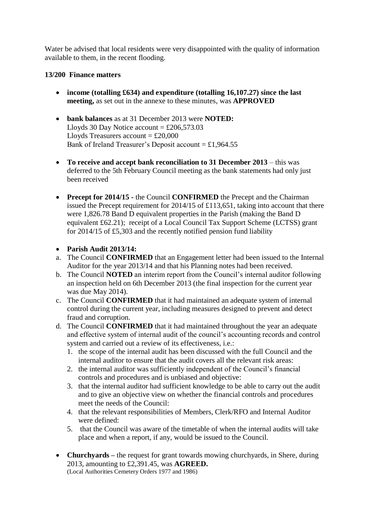Water be advised that local residents were very disappointed with the quality of information available to them, in the recent flooding.

## **13/200 Finance matters**

- **income (totalling £634) and expenditure (totalling 16,107.27) since the last meeting,** as set out in the annexe to these minutes, was **APPROVED**
- **bank balances** as at 31 December 2013 were **NOTED:** Lloyds 30 Day Notice account =  $\text{\pounds}206,573.03$ Lloyds Treasurers account =  $£20,000$ Bank of Ireland Treasurer's Deposit account =  $£1.964.55$
- **To receive and accept bank reconciliation to 31 December 2013** this was deferred to the 5th February Council meeting as the bank statements had only just been received
- **Precept for 2014/15 -** the Council **CONFIRMED** the Precept and the Chairman issued the Precept requirement for 2014/15 of £113,651, taking into account that there were 1,826.78 Band D equivalent properties in the Parish (making the Band D equivalent £62.21); receipt of a Local Council Tax Support Scheme (LCTSS) grant for 2014/15 of £5,303 and the recently notified pension fund liability
- **Parish Audit 2013/14:**
- a. The Council **CONFIRMED** that an Engagement letter had been issued to the Internal Auditor for the year 2013/14 and that his Planning notes had been received.
- b. The Council **NOTED** an interim report from the Council's internal auditor following an inspection held on 6th December 2013 (the final inspection for the current year was due May 2014).
- c. The Council **CONFIRMED** that it had maintained an adequate system of internal control during the current year, including measures designed to prevent and detect fraud and corruption.
- d. The Council **CONFIRMED** that it had maintained throughout the year an adequate and effective system of internal audit of the council's accounting records and control system and carried out a review of its effectiveness, i.e.:
	- 1. the scope of the internal audit has been discussed with the full Council and the internal auditor to ensure that the audit covers all the relevant risk areas:
	- 2. the internal auditor was sufficiently independent of the Council's financial controls and procedures and is unbiased and objective:
	- 3. that the internal auditor had sufficient knowledge to be able to carry out the audit and to give an objective view on whether the financial controls and procedures meet the needs of the Council:
	- 4. that the relevant responsibilities of Members, Clerk/RFO and Internal Auditor were defined:
	- 5. that the Council was aware of the timetable of when the internal audits will take place and when a report, if any, would be issued to the Council.
- **Churchyards** the request for grant towards mowing churchyards, in Shere, during 2013, amounting to £2,391.45, was **AGREED.** (Local Authorities Cemetery Orders 1977 and 1986)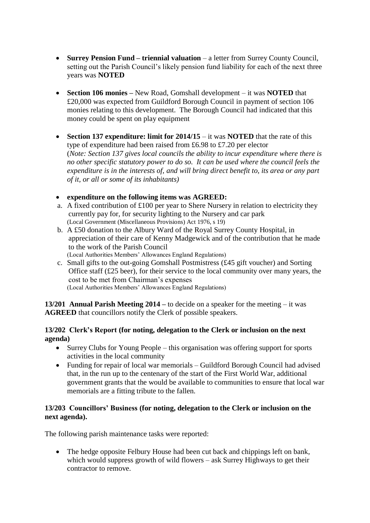- **Surrey Pension Fund – triennial valuation** a letter from Surrey County Council, setting out the Parish Council's likely pension fund liability for each of the next three years was **NOTED**
- **Section 106 monies –** New Road, Gomshall development it was **NOTED** that £20,000 was expected from Guildford Borough Council in payment of section 106 monies relating to this development. The Borough Council had indicated that this money could be spent on play equipment
- **Section 137 expenditure: limit for 2014/15** it was **NOTED** that the rate of this type of expenditure had been raised from £6.98 to £7.20 per elector (*Note: Section 137 gives local councils the ability to incur expenditure where there is no other specific statutory power to do so. It can be used where the council feels the expenditure is in the interests of, and will bring direct benefit to, its area or any part of it, or all or some of its inhabitants)*

### **expenditure on the following items was AGREED:**

- a. A fixed contribution of £100 per year to Shere Nursery in relation to electricity they currently pay for, for security lighting to the Nursery and car park (Local Government (Miscellaneous Provisions) Act 1976, s 19)
- b. A £50 donation to the Albury Ward of the Royal Surrey County Hospital, in appreciation of their care of Kenny Madgewick and of the contribution that he made to the work of the Parish Council (Local Authorities Members' Allowances England Regulations)
- c. Small gifts to the out-going Gomshall Postmistress (£45 gift voucher) and Sorting Office staff (£25 beer), for their service to the local community over many years, the cost to be met from Chairman's expenses (Local Authorities Members' Allowances England Regulations)

**13/201 Annual Parish Meeting 2014 –** to decide on a speaker for the meeting – it was **AGREED** that councillors notify the Clerk of possible speakers.

# **13/202 Clerk's Report (for noting, delegation to the Clerk or inclusion on the next agenda)**

- Surrey Clubs for Young People this organisation was offering support for sports activities in the local community
- Funding for repair of local war memorials Guildford Borough Council had advised that, in the run up to the centenary of the start of the First World War, additional government grants that the would be available to communities to ensure that local war memorials are a fitting tribute to the fallen.

### **13/203 Councillors' Business (for noting, delegation to the Clerk or inclusion on the next agenda).**

The following parish maintenance tasks were reported:

• The hedge opposite Felbury House had been cut back and chippings left on bank, which would suppress growth of wild flowers – ask Surrey Highways to get their contractor to remove.